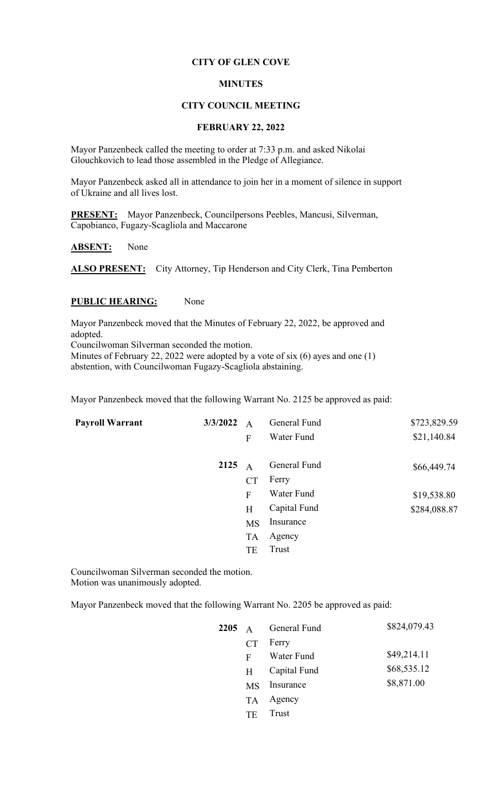## **CITY OF GLEN COVE**

#### **MINUTES**

### **CITY COUNCIL MEETING**

## **FEBRUARY 22, 2022**

Mayor Panzenbeck called the meeting to order at 7:33 p.m. and asked Nikolai Glouchkovich to lead those assembled in the Pledge of Allegiance.

Mayor Panzenbeck asked all in attendance to join her in a moment of silence in support of Ukraine and all lives lost.

**PRESENT:** Mayor Panzenbeck, Councilpersons Peebles, Mancusi, Silverman, Capobianco, Fugazy-Scagliola and Maccarone

**ABSENT:** None

ALSO PRESENT: City Attorney, Tip Henderson and City Clerk, Tina Pemberton

#### **PUBLIC HEARING:** None

Mayor Panzenbeck moved that the Minutes of February 22, 2022, be approved and adopted.

Councilwoman Silverman seconded the motion.

Minutes of February 22, 2022 were adopted by a vote of six (6) ayes and one (1) abstention, with Councilwoman Fugazy-Scagliola abstaining.

Mayor Panzenbeck moved that the following Warrant No. 2125 be approved as paid:

| <b>Payroll Warrant</b> | 3/3/2022 | $\overline{A}$ | General Fund | \$723,829.59 |
|------------------------|----------|----------------|--------------|--------------|
|                        |          | F              | Water Fund   | \$21,140.84  |
|                        | 2125     | $\mathbf{A}$   | General Fund | \$66,449.74  |
|                        |          | <b>CT</b>      | Ferry        |              |
|                        |          | F              | Water Fund   | \$19,538.80  |
|                        |          | H              | Capital Fund | \$284,088.87 |
|                        |          | <b>MS</b>      | Insurance    |              |
|                        |          | <b>TA</b>      | Agency       |              |
|                        |          | TE             | Trust        |              |
|                        |          |                |              |              |

Councilwoman Silverman seconded the motion. Motion was unanimously adopted.

Mayor Panzenbeck moved that the following Warrant No. 2205 be approved as paid:

|           | $2205$ A General Fund | \$824,079.43 |
|-----------|-----------------------|--------------|
| CT        | Ferry                 |              |
| F         | Water Fund            | \$49,214.11  |
| H         | Capital Fund          | \$68,535.12  |
| <b>MS</b> | Insurance             | \$8,871.00   |
| TA.       | Agency                |              |
| TE        | Trust                 |              |
|           |                       |              |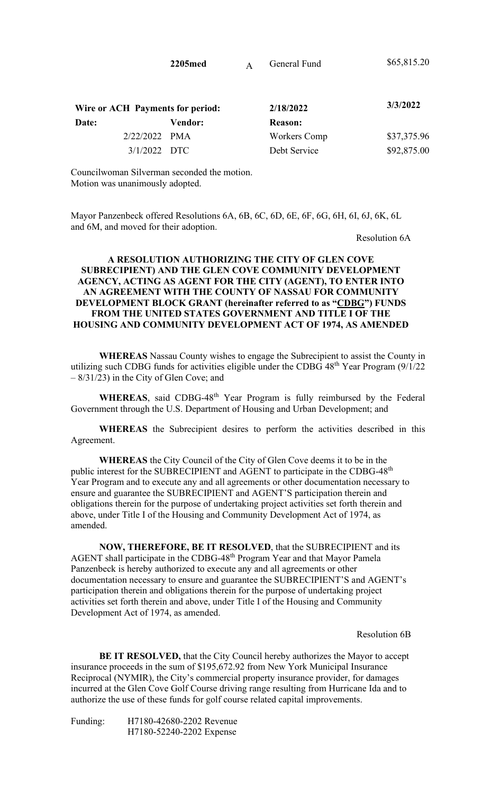| 2205med | General Fund | \$65,815.20 |
|---------|--------------|-------------|
|         |              |             |

| Wire or ACH Payments for period: |         | 2/18/2022      | 3/3/2022    |
|----------------------------------|---------|----------------|-------------|
| Date:                            | Vendor: | <b>Reason:</b> |             |
| $2/22/2022$ PMA                  |         | Workers Comp   | \$37,375.96 |
| $3/1/2022$ DTC                   |         | Debt Service   | \$92,875.00 |

Councilwoman Silverman seconded the motion. Motion was unanimously adopted.

Mayor Panzenbeck offered Resolutions 6A, 6B, 6C, 6D, 6E, 6F, 6G, 6H, 6I, 6J, 6K, 6L and 6M, and moved for their adoption.

Resolution 6A

# **A RESOLUTION AUTHORIZING THE CITY OF GLEN COVE SUBRECIPIENT) AND THE GLEN COVE COMMUNITY DEVELOPMENT AGENCY, ACTING AS AGENT FOR THE CITY (AGENT), TO ENTER INTO AN AGREEMENT WITH THE COUNTY OF NASSAU FOR COMMUNITY DEVELOPMENT BLOCK GRANT (hereinafter referred to as "CDBG") FUNDS FROM THE UNITED STATES GOVERNMENT AND TITLE I OF THE HOUSING AND COMMUNITY DEVELOPMENT ACT OF 1974, AS AMENDED**

**WHEREAS** Nassau County wishes to engage the Subrecipient to assist the County in utilizing such CDBG funds for activities eligible under the CDBG  $48<sup>th</sup>$  Year Program (9/1/22) – 8/31/23) in the City of Glen Cove; and

WHEREAS, said CDBG-48<sup>th</sup> Year Program is fully reimbursed by the Federal Government through the U.S. Department of Housing and Urban Development; and

**WHEREAS** the Subrecipient desires to perform the activities described in this Agreement.

 **WHEREAS** the City Council of the City of Glen Cove deems it to be in the public interest for the SUBRECIPIENT and AGENT to participate in the CDBG-48<sup>th</sup> Year Program and to execute any and all agreements or other documentation necessary to ensure and guarantee the SUBRECIPIENT and AGENT'S participation therein and obligations therein for the purpose of undertaking project activities set forth therein and above, under Title I of the Housing and Community Development Act of 1974, as amended.

 **NOW, THEREFORE, BE IT RESOLVED**, that the SUBRECIPIENT and its AGENT shall participate in the CDBG-48<sup>th</sup> Program Year and that Mayor Pamela Panzenbeck is hereby authorized to execute any and all agreements or other documentation necessary to ensure and guarantee the SUBRECIPIENT'S and AGENT's participation therein and obligations therein for the purpose of undertaking project activities set forth therein and above, under Title I of the Housing and Community Development Act of 1974, as amended.

Resolution 6B

**BE IT RESOLVED,** that the City Council hereby authorizes the Mayor to accept insurance proceeds in the sum of \$195,672.92 from New York Municipal Insurance Reciprocal (NYMIR), the City's commercial property insurance provider, for damages incurred at the Glen Cove Golf Course driving range resulting from Hurricane Ida and to authorize the use of these funds for golf course related capital improvements.

Funding: H7180-42680-2202 Revenue H7180-52240-2202 Expense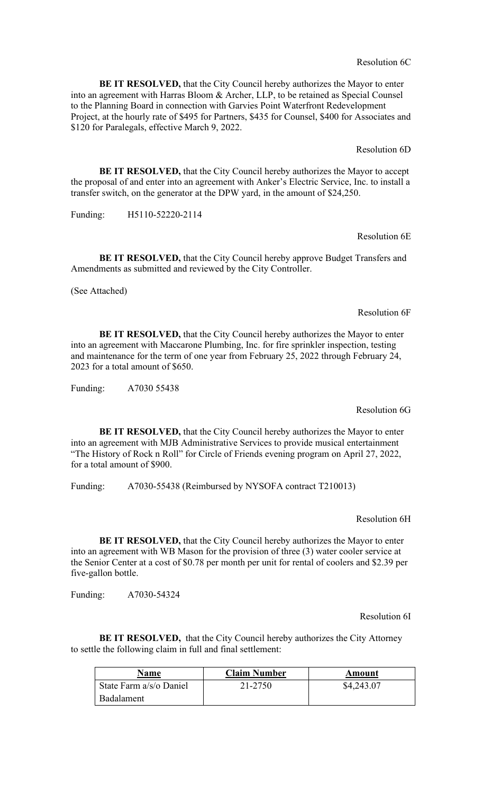Resolution 6C

**BE IT RESOLVED,** that the City Council hereby authorizes the Mayor to enter into an agreement with Harras Bloom & Archer, LLP, to be retained as Special Counsel to the Planning Board in connection with Garvies Point Waterfront Redevelopment Project, at the hourly rate of \$495 for Partners, \$435 for Counsel, \$400 for Associates and \$120 for Paralegals, effective March 9, 2022.

Resolution 6D

**BE IT RESOLVED,** that the City Council hereby authorizes the Mayor to accept the proposal of and enter into an agreement with Anker's Electric Service, Inc. to install a transfer switch, on the generator at the DPW yard, in the amount of \$24,250.

Funding: H5110-52220-2114

Resolution 6E

**BE IT RESOLVED,** that the City Council hereby approve Budget Transfers and Amendments as submitted and reviewed by the City Controller.

(See Attached)

Resolution 6F

**BE IT RESOLVED,** that the City Council hereby authorizes the Mayor to enter into an agreement with Maccarone Plumbing, Inc. for fire sprinkler inspection, testing and maintenance for the term of one year from February 25, 2022 through February 24, 2023 for a total amount of \$650.

Funding: A7030 55438

Resolution 6G

**BE IT RESOLVED,** that the City Council hereby authorizes the Mayor to enter into an agreement with MJB Administrative Services to provide musical entertainment "The History of Rock n Roll" for Circle of Friends evening program on April 27, 2022, for a total amount of \$900.

Funding: A7030-55438 (Reimbursed by NYSOFA contract T210013)

Resolution 6H

**BE IT RESOLVED,** that the City Council hereby authorizes the Mayor to enter into an agreement with WB Mason for the provision of three (3) water cooler service at the Senior Center at a cost of \$0.78 per month per unit for rental of coolers and \$2.39 per five-gallon bottle.

Funding: A7030-54324

Resolution 6I

**BE IT RESOLVED,** that the City Council hereby authorizes the City Attorney to settle the following claim in full and final settlement:

| <b>Name</b>             | <b>Claim Number</b> | Amount     |
|-------------------------|---------------------|------------|
| State Farm a/s/o Daniel | 21-2750             | \$4,243.07 |
| <b>Badalament</b>       |                     |            |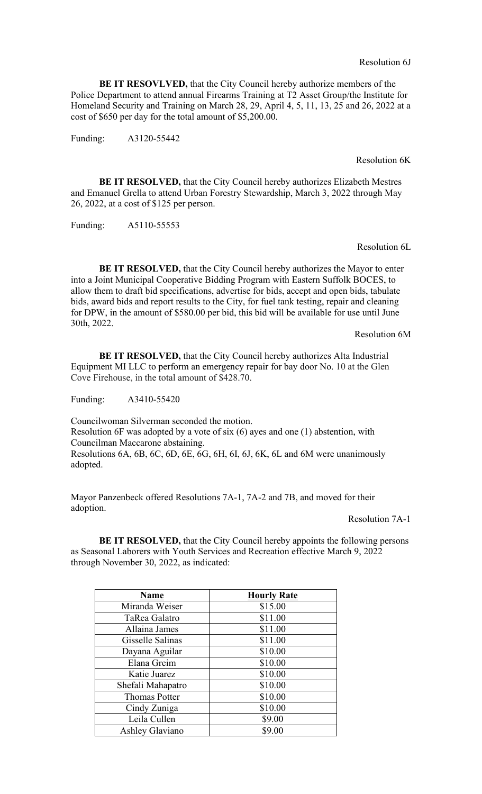#### Resolution 6J

**BE IT RESOVLVED,** that the City Council hereby authorize members of the Police Department to attend annual Firearms Training at T2 Asset Group/the Institute for Homeland Security and Training on March 28, 29, April 4, 5, 11, 13, 25 and 26, 2022 at a cost of \$650 per day for the total amount of \$5,200.00.

Funding: A3120-55442

#### Resolution 6K

**BE IT RESOLVED,** that the City Council hereby authorizes Elizabeth Mestres and Emanuel Grella to attend Urban Forestry Stewardship, March 3, 2022 through May 26, 2022, at a cost of \$125 per person.

Funding: A5110-55553

Resolution 6L

**BE IT RESOLVED, that the City Council hereby authorizes the Mayor to enter** into a Joint Municipal Cooperative Bidding Program with Eastern Suffolk BOCES, to allow them to draft bid specifications, advertise for bids, accept and open bids, tabulate bids, award bids and report results to the City, for fuel tank testing, repair and cleaning for DPW, in the amount of \$580.00 per bid, this bid will be available for use until June 30th, 2022.

Resolution 6M

**BE IT RESOLVED,** that the City Council hereby authorizes Alta Industrial Equipment MI LLC to perform an emergency repair for bay door No. 10 at the Glen Cove Firehouse, in the total amount of \$428.70.

Funding: A3410-55420

Councilwoman Silverman seconded the motion.

Resolution 6F was adopted by a vote of six (6) ayes and one (1) abstention, with Councilman Maccarone abstaining.

Resolutions 6A, 6B, 6C, 6D, 6E, 6G, 6H, 6I, 6J, 6K, 6L and 6M were unanimously adopted.

Mayor Panzenbeck offered Resolutions 7A-1, 7A-2 and 7B, and moved for their adoption.

Resolution 7A-1

**BE IT RESOLVED,** that the City Council hereby appoints the following persons as Seasonal Laborers with Youth Services and Recreation effective March 9, 2022 through November 30, 2022, as indicated:

| <b>Name</b>          | <b>Hourly Rate</b> |
|----------------------|--------------------|
| Miranda Weiser       | \$15.00            |
| TaRea Galatro        | \$11.00            |
| Allaina James        | \$11.00            |
| Gisselle Salinas     | \$11.00            |
| Dayana Aguilar       | \$10.00            |
| Elana Greim          | \$10.00            |
| Katie Juarez         | \$10.00            |
| Shefali Mahapatro    | \$10.00            |
| <b>Thomas Potter</b> | \$10.00            |
| Cindy Zuniga         | \$10.00            |
| Leila Cullen         | \$9.00             |
| Ashley Glaviano      | \$9.00             |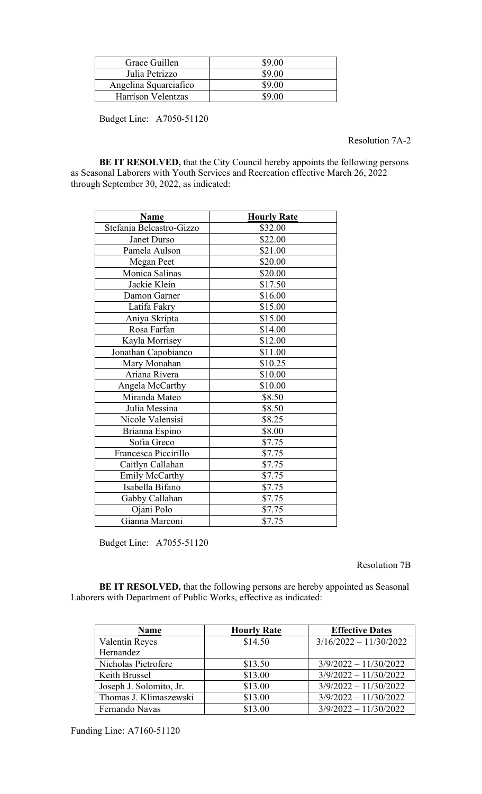| Grace Guillen         | \$9.00 |
|-----------------------|--------|
| Julia Petrizzo        | \$9.00 |
| Angelina Squarciafico | \$9.00 |
| Harrison Velentzas    | S9 00  |

Budget Line: A7050-51120

Resolution 7A-2

**BE IT RESOLVED,** that the City Council hereby appoints the following persons as Seasonal Laborers with Youth Services and Recreation effective March 26, 2022 through September 30, 2022, as indicated:

| <b>Name</b>              | <b>Hourly Rate</b> |
|--------------------------|--------------------|
| Stefania Belcastro-Gizzo | \$32.00            |
| Janet Durso              | \$22.00            |
| Pamela Aulson            | \$21.00            |
| <b>Megan Peet</b>        | \$20.00            |
| Monica Salinas           | \$20.00            |
| Jackie Klein             | \$17.50            |
| Damon Garner             | \$16.00            |
| Latifa Fakry             | \$15.00            |
| Aniya Skripta            | \$15.00            |
| Rosa Farfan              | \$14.00            |
| Kayla Morrisey           | \$12.00            |
| Jonathan Capobianco      | \$11.00            |
| Mary Monahan             | \$10.25            |
| Ariana Rivera            | \$10.00            |
| Angela McCarthy          | \$10.00            |
| Miranda Mateo            | \$8.50             |
| Julia Messina            | \$8.50             |
| Nicole Valensisi         | \$8.25             |
| Brianna Espino           | \$8.00             |
| Sofia Greco              | \$7.75             |
| Francesca Piccirillo     | \$7.75             |
| Caitlyn Callahan         | \$7.75             |
| <b>Emily McCarthy</b>    | \$7.75             |
| Isabella Bifano          | \$7.75             |
| Gabby Callahan           | \$7.75             |
| Ojani Polo               | \$7.75             |
| Gianna Marconi           | \$7.75             |

Budget Line: A7055-51120

Resolution 7B

**BE IT RESOLVED,** that the following persons are hereby appointed as Seasonal Laborers with Department of Public Works, effective as indicated:

| <b>Name</b>             | <b>Hourly Rate</b> | <b>Effective Dates</b>   |
|-------------------------|--------------------|--------------------------|
| <b>Valentin Reyes</b>   | \$14.50            | $3/16/2022 - 11/30/2022$ |
| Hernandez               |                    |                          |
| Nicholas Pietrofere     | \$13.50            | $3/9/2022 - 11/30/2022$  |
| Keith Brussel           | \$13.00            | $3/9/2022 - 11/30/2022$  |
| Joseph J. Solomito, Jr. | \$13.00            | $3/9/2022 - 11/30/2022$  |
| Thomas J. Klimaszewski  | \$13.00            | $3/9/2022 - 11/30/2022$  |
| Fernando Navas          | \$13.00            | $3/9/2022 - 11/30/2022$  |